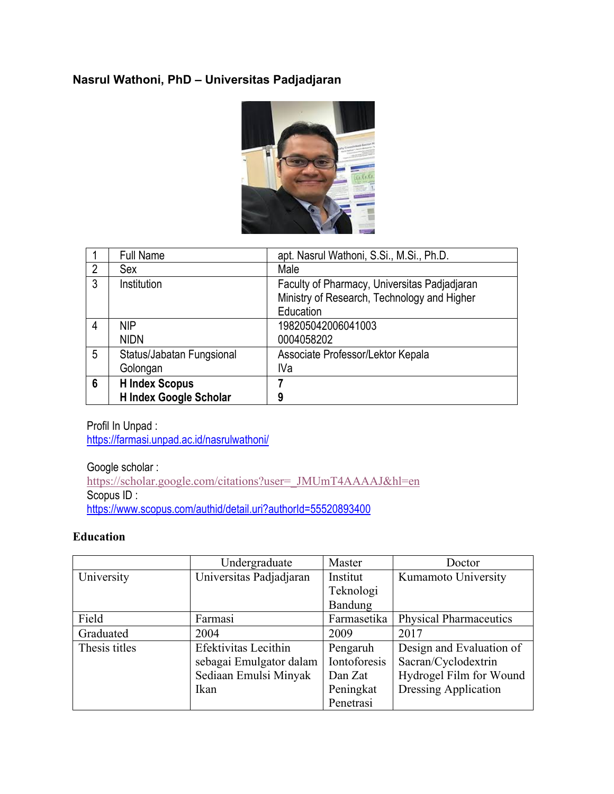## **Nasrul Wathoni, PhD – Universitas Padjadjaran**



|                | <b>Full Name</b>          | apt. Nasrul Wathoni, S.Si., M.Si., Ph.D.     |
|----------------|---------------------------|----------------------------------------------|
| $\overline{2}$ | Sex                       | Male                                         |
| 3              | Institution               | Faculty of Pharmacy, Universitas Padjadjaran |
|                |                           | Ministry of Research, Technology and Higher  |
|                |                           | Education                                    |
| 4              | <b>NIP</b>                | 198205042006041003                           |
|                | <b>NIDN</b>               | 0004058202                                   |
| 5              | Status/Jabatan Fungsional | Associate Professor/Lektor Kepala            |
|                | Golongan                  | IVa                                          |
| 6              | <b>H</b> Index Scopus     |                                              |
|                | H Index Google Scholar    | 9                                            |

Profil In Unpad : https://farmasi.unpad.ac.id/nasrulwathoni/

Google scholar : https://scholar.google.com/citations?user=\_JMUmT4AAAAJ&hl=en Scopus ID : https://www.scopus.com/authid/detail.uri?authorId=55520893400

### **Education**

|               | Undergraduate           | Master       | Doctor                        |
|---------------|-------------------------|--------------|-------------------------------|
| University    | Universitas Padjadjaran | Institut     | Kumamoto University           |
|               |                         | Teknologi    |                               |
|               |                         | Bandung      |                               |
| Field         | Farmasi                 | Farmasetika  | <b>Physical Pharmaceutics</b> |
| Graduated     | 2004                    | 2009         | 2017                          |
| Thesis titles | Efektivitas Lecithin    | Pengaruh     | Design and Evaluation of      |
|               | sebagai Emulgator dalam | Iontoforesis | Sacran/Cyclodextrin           |
|               | Sediaan Emulsi Minyak   | Dan Zat      | Hydrogel Film for Wound       |
|               | Ikan                    | Peningkat    | <b>Dressing Application</b>   |
|               |                         | Penetrasi    |                               |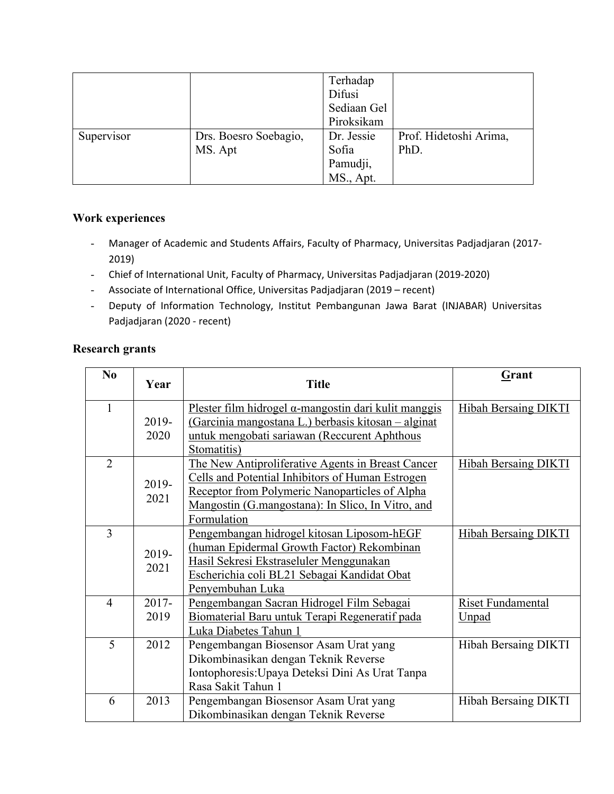|            |                       | Terhadap    |                        |
|------------|-----------------------|-------------|------------------------|
|            |                       | Difusi      |                        |
|            |                       | Sediaan Gel |                        |
|            |                       | Piroksikam  |                        |
| Supervisor | Drs. Boesro Soebagio, | Dr. Jessie  | Prof. Hidetoshi Arima, |
|            | MS. Apt               | Sofia       | PhD.                   |
|            |                       | Pamudji,    |                        |
|            |                       | MS., Apt.   |                        |

### **Work experiences**

- Manager of Academic and Students Affairs, Faculty of Pharmacy, Universitas Padjadjaran (2017- 2019)
- Chief of International Unit, Faculty of Pharmacy, Universitas Padjadjaran (2019-2020)
- Associate of International Office, Universitas Padjadjaran (2019 recent)
- Deputy of Information Technology, Institut Pembangunan Jawa Barat (INJABAR) Universitas Padjadjaran (2020 - recent)

## **Research grants**

| N <sub>0</sub> | Year                                                  | <b>Title</b>                                                     | Grant                       |
|----------------|-------------------------------------------------------|------------------------------------------------------------------|-----------------------------|
| 1              | 2019-                                                 | Plester film hidrogel $\alpha$ -mangostin dari kulit manggis     | <b>Hibah Bersaing DIKTI</b> |
|                | 2020                                                  | (Garcinia mangostana L.) berbasis kitosan – alginat              |                             |
|                |                                                       | untuk mengobati sariawan (Reccurent Aphthous                     |                             |
| $\overline{2}$ |                                                       | Stomatitis)<br>The New Antiproliferative Agents in Breast Cancer | <b>Hibah Bersaing DIKTI</b> |
|                |                                                       | <b>Cells and Potential Inhibitors of Human Estrogen</b>          |                             |
|                | 2019-                                                 | Receptor from Polymeric Nanoparticles of Alpha                   |                             |
|                | 2021                                                  | Mangostin (G.mangostana): In Slico, In Vitro, and                |                             |
|                |                                                       | Formulation                                                      |                             |
| 3              |                                                       | Pengembangan hidrogel kitosan Liposom-hEGF                       | <b>Hibah Bersaing DIKTI</b> |
|                |                                                       | (human Epidermal Growth Factor) Rekombinan                       |                             |
|                | 2019-                                                 | Hasil Sekresi Ekstraseluler Menggunakan                          |                             |
|                | 2021                                                  | Escherichia coli BL21 Sebagai Kandidat Obat                      |                             |
|                |                                                       | Penyembuhan Luka                                                 |                             |
| $\overline{4}$ | $2017 -$<br>Pengembangan Sacran Hidrogel Film Sebagai |                                                                  | <b>Riset Fundamental</b>    |
|                | 2019                                                  | Biomaterial Baru untuk Terapi Regeneratif pada                   | <u>Unpad</u>                |
|                |                                                       | Luka Diabetes Tahun 1                                            |                             |
| 5              | 2012<br>Pengembangan Biosensor Asam Urat yang         |                                                                  | Hibah Bersaing DIKTI        |
|                |                                                       | Dikombinasikan dengan Teknik Reverse                             |                             |
|                |                                                       | Iontophoresis: Upaya Deteksi Dini As Urat Tanpa                  |                             |
|                |                                                       | Rasa Sakit Tahun 1                                               |                             |
| 6              | 2013                                                  | Pengembangan Biosensor Asam Urat yang                            | Hibah Bersaing DIKTI        |
|                |                                                       | Dikombinasikan dengan Teknik Reverse                             |                             |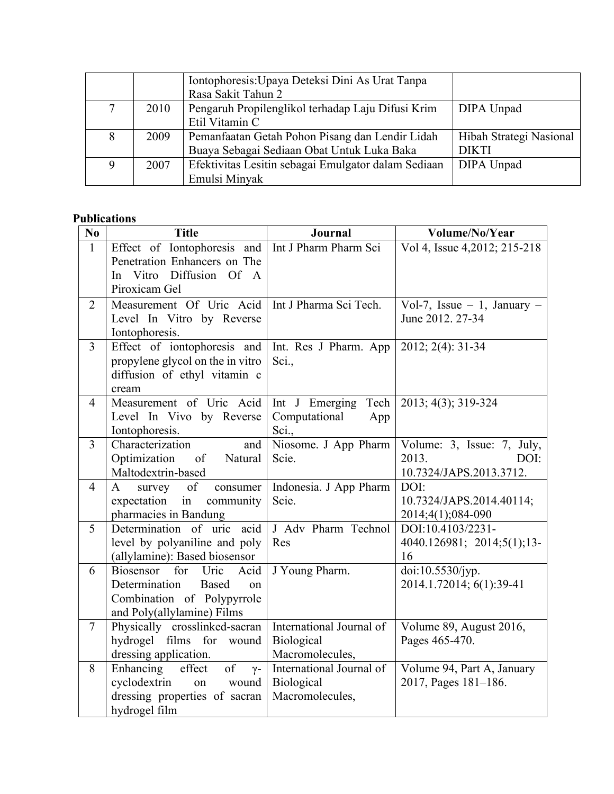|   |      | Iontophoresis: Upaya Deteksi Dini As Urat Tanpa     |                         |
|---|------|-----------------------------------------------------|-------------------------|
|   |      | Rasa Sakit Tahun 2                                  |                         |
|   | 2010 | Pengaruh Propilenglikol terhadap Laju Difusi Krim   | DIPA Unpad              |
|   |      | Etil Vitamin C                                      |                         |
| 8 | 2009 | Pemanfaatan Getah Pohon Pisang dan Lendir Lidah     | Hibah Strategi Nasional |
|   |      | Buaya Sebagai Sediaan Obat Untuk Luka Baka          | <b>DIKTI</b>            |
| 9 | 2007 | Efektivitas Lesitin sebagai Emulgator dalam Sediaan | DIPA Unpad              |
|   |      | Emulsi Minyak                                       |                         |

### **Publications**

| N <sub>0</sub> | <b>Title</b>                                                   | <b>Journal</b>           | Volume/No/Year                   |
|----------------|----------------------------------------------------------------|--------------------------|----------------------------------|
| $\mathbf{1}$   | Effect of Iontophoresis and                                    | Int J Pharm Pharm Sci    | Vol 4, Issue 4, 2012; 215-218    |
|                | Penetration Enhancers on The                                   |                          |                                  |
|                | In Vitro Diffusion Of A                                        |                          |                                  |
|                | Piroxicam Gel                                                  |                          |                                  |
| $\overline{2}$ | Measurement Of Uric Acid                                       | Int J Pharma Sci Tech.   | Vol-7, Issue $-1$ , January $-$  |
|                | Level In Vitro by Reverse                                      |                          | June 2012, 27-34                 |
| $\overline{3}$ | Iontophoresis.<br>Effect of iontophoresis and                  | Int. Res J Pharm. App    | 2012; 2(4): 31-34                |
|                | propylene glycol on the in vitro                               | Sci.,                    |                                  |
|                | diffusion of ethyl vitamin c                                   |                          |                                  |
|                | cream                                                          |                          |                                  |
| $\overline{4}$ | Measurement of Uric Acid                                       | Tech<br>Int J Emerging   | 2013; 4(3); 319-324              |
|                | Level In Vivo by Reverse                                       | Computational<br>App     |                                  |
|                | Iontophoresis.                                                 | Sci.,                    |                                  |
| $\overline{3}$ | Characterization<br>and                                        | Niosome. J App Pharm     | Volume: 3, Issue: 7, July,       |
|                | Optimization<br>of<br>Natural                                  | Scie.                    | 2013.<br>DOI:                    |
|                | Maltodextrin-based                                             |                          | 10.7324/JAPS.2013.3712.          |
| $\overline{4}$ | of<br>$\mathbf{A}$<br>survey<br>consumer                       | Indonesia. J App Pharm   | DOI:                             |
|                | expectation<br>in<br>community                                 | Scie.                    | 10.7324/JAPS.2014.40114;         |
|                | pharmacies in Bandung                                          | J Adv Pharm Technol      | 2014;4(1);084-090                |
| 5              | Determination of uric acid                                     | Res                      | DOI:10.4103/2231-                |
|                | level by polyaniline and poly<br>(allylamine): Based biosensor |                          | 4040.126981; 2014;5(1);13-<br>16 |
| 6              | <b>Biosensor</b><br>for<br>Uric<br>Acid                        | J Young Pharm.           | doi:10.5530/jyp.                 |
|                | Determination<br>Based<br>on                                   |                          | 2014.1.72014; 6(1):39-41         |
|                | Combination of Polypyrrole                                     |                          |                                  |
|                | and Poly(allylamine) Films                                     |                          |                                  |
| $\tau$         | Physically crosslinked-sacran                                  | International Journal of | Volume 89, August 2016,          |
|                | hydrogel films for wound                                       | Biological               | Pages 465-470.                   |
|                | dressing application.                                          | Macromolecules,          |                                  |
| 8              | Enhancing<br>of<br>effect<br>$\gamma$ -                        | International Journal of | Volume 94, Part A, January       |
|                | cyclodextrin<br>wound<br>on                                    | Biological               | 2017, Pages 181-186.             |
|                | dressing properties of sacran                                  | Macromolecules,          |                                  |
|                | hydrogel film                                                  |                          |                                  |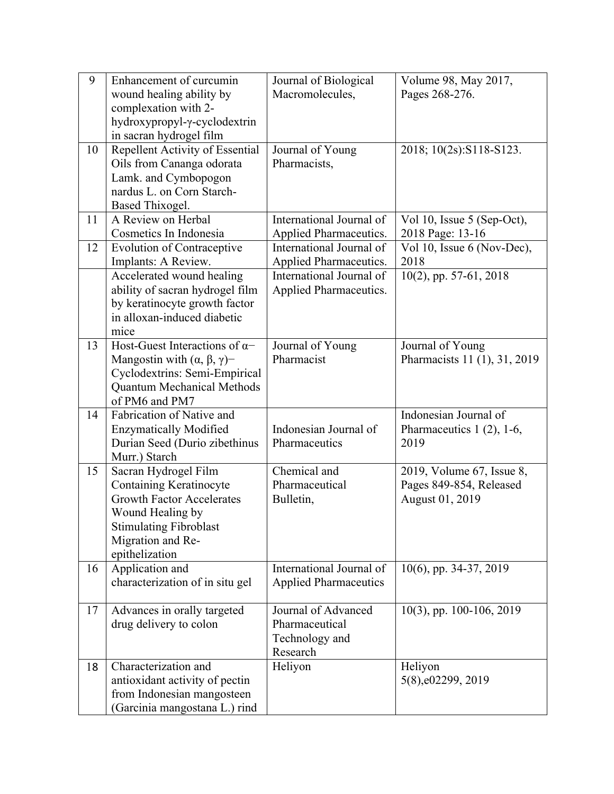| 9  | Enhancement of curcumin                           | Journal of Biological        | Volume 98, May 2017,         |
|----|---------------------------------------------------|------------------------------|------------------------------|
|    | wound healing ability by                          | Macromolecules,              | Pages 268-276.               |
|    | complexation with 2-                              |                              |                              |
|    | hydroxypropyl-y-cyclodextrin                      |                              |                              |
|    | in sacran hydrogel film                           |                              |                              |
| 10 | Repellent Activity of Essential                   | Journal of Young             | 2018; 10(2s): S118-S123.     |
|    | Oils from Cananga odorata                         | Pharmacists,                 |                              |
|    | Lamk. and Cymbopogon<br>nardus L. on Corn Starch- |                              |                              |
|    | Based Thixogel.                                   |                              |                              |
| 11 | A Review on Herbal                                | International Journal of     | Vol 10, Issue 5 (Sep-Oct),   |
|    | Cosmetics In Indonesia                            | Applied Pharmaceutics.       | 2018 Page: 13-16             |
| 12 | <b>Evolution of Contraceptive</b>                 | International Journal of     | Vol 10, Issue 6 (Nov-Dec),   |
|    | Implants: A Review.                               | Applied Pharmaceutics.       | 2018                         |
|    | Accelerated wound healing                         | International Journal of     | 10(2), pp. 57-61, 2018       |
|    | ability of sacran hydrogel film                   | Applied Pharmaceutics.       |                              |
|    | by keratinocyte growth factor                     |                              |                              |
|    | in alloxan-induced diabetic                       |                              |                              |
|    | mice                                              |                              |                              |
| 13 | Host-Guest Interactions of $\alpha$ -             | Journal of Young             | Journal of Young             |
|    | Mangostin with $(\alpha, \beta, \gamma)$ -        | Pharmacist                   | Pharmacists 11 (1), 31, 2019 |
|    | Cyclodextrins: Semi-Empirical                     |                              |                              |
|    | <b>Quantum Mechanical Methods</b>                 |                              |                              |
|    | of PM6 and PM7                                    |                              |                              |
| 14 | Fabrication of Native and                         |                              | Indonesian Journal of        |
|    | <b>Enzymatically Modified</b>                     | Indonesian Journal of        | Pharmaceutics $1(2)$ , 1-6,  |
|    | Durian Seed (Durio zibethinus                     | Pharmaceutics                | 2019                         |
|    | Murr.) Starch                                     |                              |                              |
| 15 | Sacran Hydrogel Film                              | Chemical and                 | 2019, Volume 67, Issue 8,    |
|    | Containing Keratinocyte                           | Pharmaceutical               | Pages 849-854, Released      |
|    | <b>Growth Factor Accelerates</b>                  | Bulletin,                    | August 01, 2019              |
|    | Wound Healing by                                  |                              |                              |
|    | <b>Stimulating Fibroblast</b>                     |                              |                              |
|    | Migration and Re-<br>epithelization               |                              |                              |
| 16 | Application and                                   | International Journal of     | 10(6), pp. 34-37, 2019       |
|    | characterization of in situ gel                   | <b>Applied Pharmaceutics</b> |                              |
|    |                                                   |                              |                              |
| 17 | Advances in orally targeted                       | Journal of Advanced          | $10(3)$ , pp. 100-106, 2019  |
|    | drug delivery to colon                            | Pharmaceutical               |                              |
|    |                                                   | Technology and               |                              |
|    |                                                   | Research                     |                              |
| 18 | Characterization and                              | Heliyon                      | Heliyon                      |
|    | antioxidant activity of pectin                    |                              | 5(8), e02299, 2019           |
|    | from Indonesian mangosteen                        |                              |                              |
|    | (Garcinia mangostana L.) rind                     |                              |                              |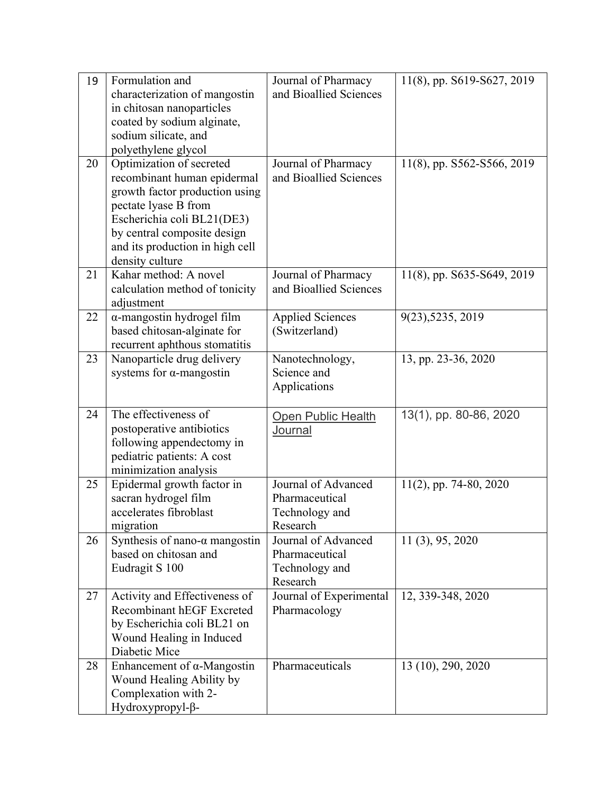| 19<br>20 | Formulation and<br>characterization of mangostin<br>in chitosan nanoparticles<br>coated by sodium alginate,<br>sodium silicate, and<br>polyethylene glycol<br>Optimization of secreted                   | Journal of Pharmacy<br>and Bioallied Sciences<br>Journal of Pharmacy | 11(8), pp. S619-S627, 2019<br>11(8), pp. S562-S566, 2019 |
|----------|----------------------------------------------------------------------------------------------------------------------------------------------------------------------------------------------------------|----------------------------------------------------------------------|----------------------------------------------------------|
|          | recombinant human epidermal<br>growth factor production using<br>pectate lyase B from<br>Escherichia coli BL21(DE3)<br>by central composite design<br>and its production in high cell<br>density culture | and Bioallied Sciences                                               |                                                          |
| 21       | Kahar method: A novel<br>calculation method of tonicity<br>adjustment                                                                                                                                    | Journal of Pharmacy<br>and Bioallied Sciences                        | 11(8), pp. S635-S649, 2019                               |
| 22       | α-mangostin hydrogel film<br>based chitosan-alginate for<br>recurrent aphthous stomatitis                                                                                                                | <b>Applied Sciences</b><br>(Switzerland)                             | 9(23), 5235, 2019                                        |
| 23       | Nanoparticle drug delivery<br>systems for $\alpha$ -mangostin                                                                                                                                            | Nanotechnology,<br>Science and<br>Applications                       | 13, pp. 23-36, 2020                                      |
| 24       | The effectiveness of<br>postoperative antibiotics<br>following appendectomy in<br>pediatric patients: A cost<br>minimization analysis                                                                    | <b>Open Public Health</b><br>Journal                                 | 13(1), pp. 80-86, 2020                                   |
| 25       | Epidermal growth factor in<br>sacran hydrogel film<br>accelerates fibroblast<br>migration                                                                                                                | Journal of Advanced<br>Pharmaceutical<br>Technology and<br>Research  | $11(2)$ , pp. 74-80, 2020                                |
| 26       | Synthesis of nano- $\alpha$ mangostin<br>based on chitosan and<br>Eudragit S 100                                                                                                                         | Journal of Advanced<br>Pharmaceutical<br>Technology and<br>Research  | 11 (3), 95, 2020                                         |
| 27       | Activity and Effectiveness of<br><b>Recombinant hEGF Excreted</b><br>by Escherichia coli BL21 on<br>Wound Healing in Induced<br>Diabetic Mice                                                            | Journal of Experimental<br>Pharmacology                              | 12, 339-348, 2020                                        |
| 28       | Enhancement of $\alpha$ -Mangostin<br>Wound Healing Ability by<br>Complexation with 2-<br>Hydroxypropyl-β-                                                                                               | Pharmaceuticals                                                      | 13 (10), 290, 2020                                       |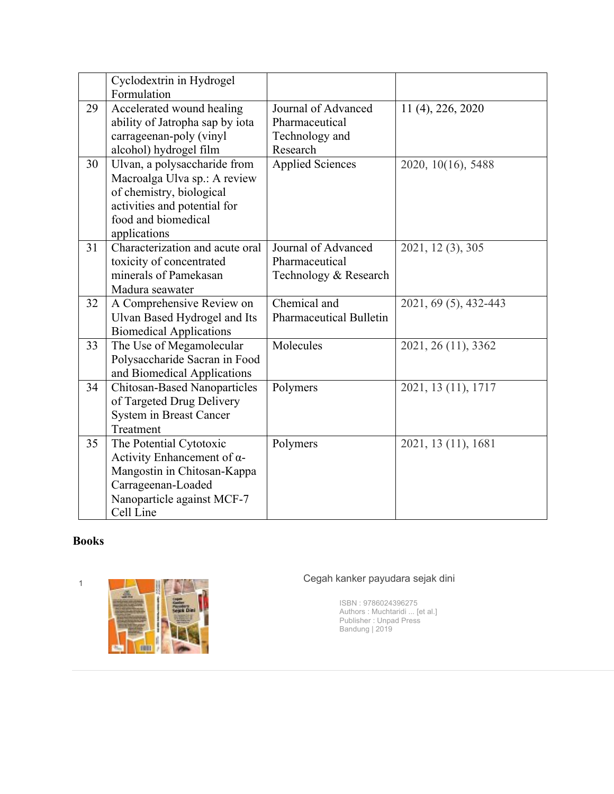|    | Cyclodextrin in Hydrogel<br>Formulation                                                                                                                         |                                                                     |                       |
|----|-----------------------------------------------------------------------------------------------------------------------------------------------------------------|---------------------------------------------------------------------|-----------------------|
| 29 | Accelerated wound healing<br>ability of Jatropha sap by iota<br>carrageenan-poly (vinyl<br>alcohol) hydrogel film                                               | Journal of Advanced<br>Pharmaceutical<br>Technology and<br>Research | 11 (4), 226, 2020     |
| 30 | Ulvan, a polysaccharide from<br>Macroalga Ulva sp.: A review<br>of chemistry, biological<br>activities and potential for<br>food and biomedical<br>applications | <b>Applied Sciences</b>                                             | 2020, 10(16), 5488    |
| 31 | Characterization and acute oral<br>toxicity of concentrated<br>minerals of Pamekasan<br>Madura seawater                                                         | Journal of Advanced<br>Pharmaceutical<br>Technology & Research      | 2021, 12 (3), 305     |
| 32 | A Comprehensive Review on<br>Ulvan Based Hydrogel and Its<br><b>Biomedical Applications</b>                                                                     | Chemical and<br><b>Pharmaceutical Bulletin</b>                      | 2021, 69 (5), 432-443 |
| 33 | The Use of Megamolecular<br>Polysaccharide Sacran in Food<br>and Biomedical Applications                                                                        | Molecules                                                           | 2021, 26 (11), 3362   |
| 34 | <b>Chitosan-Based Nanoparticles</b><br>of Targeted Drug Delivery<br><b>System in Breast Cancer</b><br>Treatment                                                 | Polymers                                                            | 2021, 13 (11), 1717   |
| 35 | The Potential Cytotoxic<br>Activity Enhancement of $\alpha$ -<br>Mangostin in Chitosan-Kappa<br>Carrageenan-Loaded<br>Nanoparticle against MCF-7<br>Cell Line   | Polymers                                                            | 2021, 13 (11), 1681   |

## **Books**



ISBN : 9786024396275 Authors : Muchtaridi ... [et al.] Publisher : Unpad Press Bandung | 2019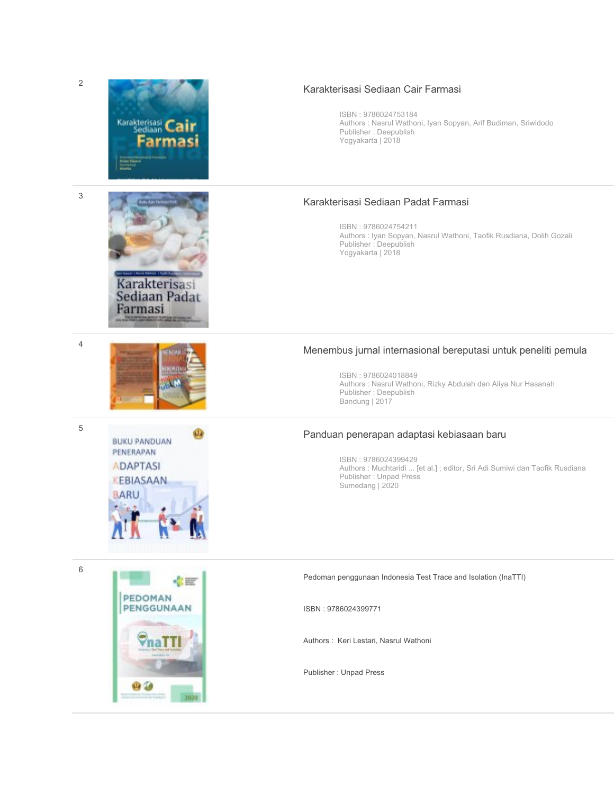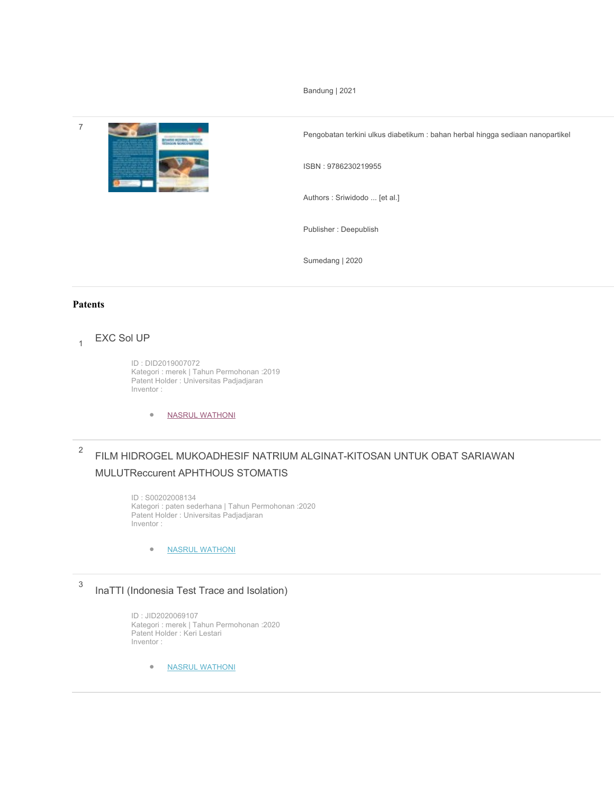Bandung | 2021



Pengobatan terkini ulkus diabetikum : bahan herbal hingga sediaan nanopartikel

ISBN : 9786230219955

Authors : Sriwidodo ... [et al.]

Publisher : Deepublish

Sumedang | 2020

#### **Patents**

### $_{1}$  EXC Sol UP

ID : DID2019007072 Kategori : merek | Tahun Permohonan :2019 Patent Holder : Universitas Padjadjaran Inventor :

• NASRUL WATHONI

## <sup>2</sup> FILM HIDROGEL MUKOADHESIF NATRIUM ALGINAT-KITOSAN UNTUK OBAT SARIAWAN MULUTReccurent APHTHOUS STOMATIS

ID : S00202008134 Kategori : paten sederhana | Tahun Permohonan :2020 Patent Holder : Universitas Padjadjaran Inventor :

• NASRUL WATHONI

# <sup>3</sup> InaTTI (Indonesia Test Trace and Isolation)

ID : JID2020069107 Kategori : merek | Tahun Permohonan :2020 Patent Holder : Keri Lestari Inventor :

• NASRUL WATHONI